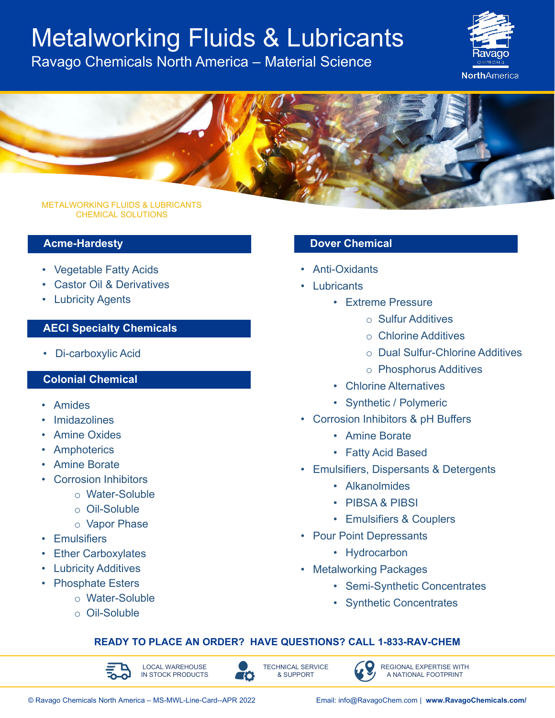# Metalworking Fluids & Lubricants

Ravago Chemicals North America – Material Science





#### METALWORKING FLUIDS & LUBRICANTS CHEMICAL SOLUTIONS

### **Acme-Hardesty**

- Vegetable Fatty Acids
- Castor Oil & Derivatives
- Lubricity Agents

### **AECI Specialty Chemicals**

• Di-carboxylic Acid

#### **Colonial Chemical**

- Amides
- **Imidazolines**
- Amine Oxides
- **Amphoterics**
- Amine Borate
- Corrosion Inhibitors
	- o Water-Soluble
	- o Oil-Soluble
	- o Vapor Phase
- **Emulsifiers**
- **Ether Carboxylates**
- Lubricity Additives
- Phosphate Esters
	- o Water-Soluble
	- o Oil-Soluble

#### **Dover Chemical**

- Anti-Oxidants
- Lubricants
	- Extreme Pressure
		- o Sulfur Additives
		- o Chlorine Additives
		- o Dual Sulfur-Chlorine Additives
		- o Phosphorus Additives
	- Chlorine Alternatives
	- Synthetic / Polymeric
- Corrosion Inhibitors & pH Buffers
	- Amine Borate
	- Fatty Acid Based
- Emulsifiers, Dispersants & Detergents
	- Alkanolmides
	- PIBSA & PIBSI
	- Emulsifiers & Couplers
- Pour Point Depressants
	- Hydrocarbon
- Metalworking Packages
	- Semi-Synthetic Concentrates
	- Synthetic Concentrates

#### **READY TO PLACE AN ORDER? HAVE QUESTIONS? CALL 1-833-RAV-CHEM**

70



TECHNICAL SERVICE & SUPPORT